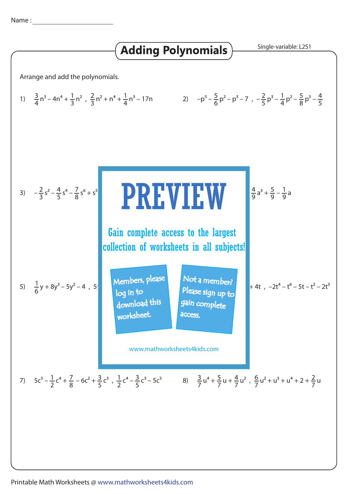